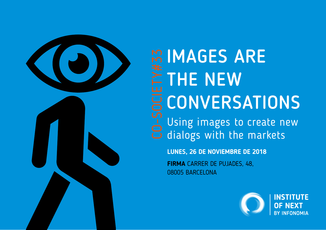

## **IMAGES ARE ETHE NEW** CONVERSATIONS m IMAGES ARE<br>
FITHE NEW<br>
U CONVERSATIONS<br>
C Using images to create new<br>
C dialogs with the markets dialogs with the markets

**LUNES, 26 DE NOVIEMBRE DE 2018**

**FIRMA** CARRER DE PUJADES, 48, 08005 BARCELONA